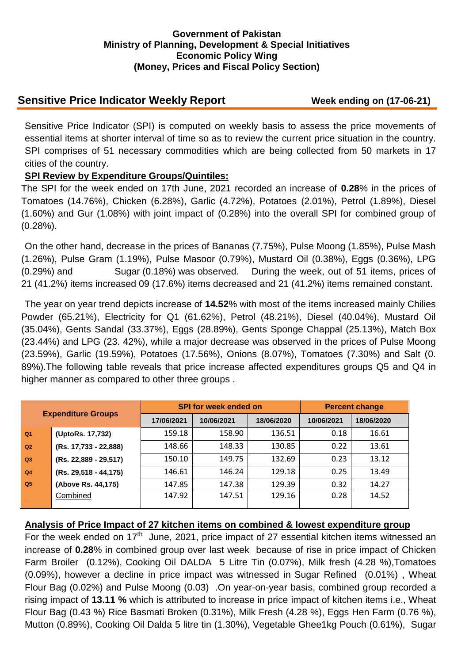### **Government of Pakistan Ministry of Planning, Development & Special Initiatives Economic Policy Wing (Money, Prices and Fiscal Policy Section)**

# **Sensitive Price Indicator Weekly Report Week ending on (17-06-21)**

Sensitive Price Indicator (SPI) is computed on weekly basis to assess the price movements of essential items at shorter interval of time so as to review the current price situation in the country. SPI comprises of 51 necessary commodities which are being collected from 50 markets in 17 cities of the country.

## **SPI Review by Expenditure Groups/Quintiles:**

The SPI for the week ended on 17th June, 2021 recorded an increase of **0.28**% in the prices of Tomatoes (14.76%), Chicken (6.28%), Garlic (4.72%), Potatoes (2.01%), Petrol (1.89%), Diesel (1.60%) and Gur (1.08%) with joint impact of (0.28%) into the overall SPI for combined group of (0.28%).

On the other hand, decrease in the prices of Bananas (7.75%), Pulse Moong (1.85%), Pulse Mash (1.26%), Pulse Gram (1.19%), Pulse Masoor (0.79%), Mustard Oil (0.38%), Eggs (0.36%), LPG (0.29%) and Sugar (0.18%) was observed. During the week, out of 51 items, prices of 21 (41.2%) items increased 09 (17.6%) items decreased and 21 (41.2%) items remained constant.

The year on year trend depicts increase of **14.52**% with most of the items increased mainly Chilies Powder (65.21%), Electricity for Q1 (61.62%), Petrol (48.21%), Diesel (40.04%), Mustard Oil (35.04%), Gents Sandal (33.37%), Eggs (28.89%), Gents Sponge Chappal (25.13%), Match Box (23.44%) and LPG (23. 42%), while a major decrease was observed in the prices of Pulse Moong (23.59%), Garlic (19.59%), Potatoes (17.56%), Onions (8.07%), Tomatoes (7.30%) and Salt (0. 89%).The following table reveals that price increase affected expenditures groups Q5 and Q4 in higher manner as compared to other three groups .

| <b>Expenditure Groups</b> |                       |            | <b>SPI for week ended on</b> | <b>Percent change</b> |            |            |
|---------------------------|-----------------------|------------|------------------------------|-----------------------|------------|------------|
|                           |                       | 17/06/2021 | 10/06/2021                   | 18/06/2020            | 10/06/2021 | 18/06/2020 |
| Q <sub>1</sub>            | (UptoRs. 17,732)      | 159.18     | 158.90                       | 136.51                | 0.18       | 16.61      |
| Q2                        | (Rs. 17,733 - 22,888) | 148.66     | 148.33                       | 130.85                | 0.22       | 13.61      |
| Q3                        | (Rs. 22,889 - 29,517) | 150.10     | 149.75                       | 132.69                | 0.23       | 13.12      |
| Q <sub>4</sub>            | (Rs. 29,518 - 44,175) | 146.61     | 146.24                       | 129.18                | 0.25       | 13.49      |
| Q <sub>5</sub>            | (Above Rs. 44,175)    | 147.85     | 147.38                       | 129.39                | 0.32       | 14.27      |
|                           | Combined              | 147.92     | 147.51                       | 129.16                | 0.28       | 14.52      |

## **Analysis of Price Impact of 27 kitchen items on combined & lowest expenditure group**

For the week ended on  $17<sup>th</sup>$  June, 2021, price impact of 27 essential kitchen items witnessed an increase of **0.28**% in combined group over last week because of rise in price impact of Chicken Farm Broiler (0.12%), Cooking Oil DALDA 5 Litre Tin (0.07%), Milk fresh (4.28 %),Tomatoes (0.09%), however a decline in price impact was witnessed in Sugar Refined (0.01%) , Wheat Flour Bag (0.02%) and Pulse Moong (0.03) .On year-on-year basis, combined group recorded a rising impact of **13.11 %** which is attributed to increase in price impact of kitchen items i.e., Wheat Flour Bag (0.43 %) Rice Basmati Broken (0.31%), Milk Fresh (4.28 %), Eggs Hen Farm (0.76 %), Mutton (0.89%), Cooking Oil Dalda 5 litre tin (1.30%), Vegetable Ghee1kg Pouch (0.61%), Sugar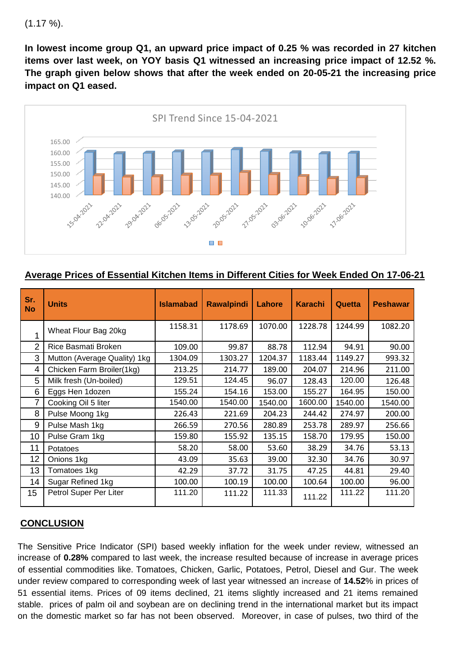```
(1.17 \%).
```
**In lowest income group Q1, an upward price impact of 0.25 % was recorded in 27 kitchen items over last week, on YOY basis Q1 witnessed an increasing price impact of 12.52 %. The graph given below shows that after the week ended on 20-05-21 the increasing price impact on Q1 eased.**



**Average Prices of Essential Kitchen Items in Different Cities for Week Ended On 17-06-21**

| Sr.<br><b>No</b> | <b>Units</b>                 | <b>Islamabad</b> | <b>Rawalpindi</b> | Lahore  | <b>Karachi</b> | Quetta  | <b>Peshawar</b> |
|------------------|------------------------------|------------------|-------------------|---------|----------------|---------|-----------------|
| 1                | Wheat Flour Bag 20kg         | 1158.31          | 1178.69           | 1070.00 | 1228.78        | 1244.99 | 1082.20         |
| 2                | Rice Basmati Broken          | 109.00           | 99.87             | 88.78   | 112.94         | 94.91   | 90.00           |
| 3                | Mutton (Average Quality) 1kg | 1304.09          | 1303.27           | 1204.37 | 1183.44        | 1149.27 | 993.32          |
| 4                | Chicken Farm Broiler(1kg)    | 213.25           | 214.77            | 189.00  | 204.07         | 214.96  | 211.00          |
| 5                | Milk fresh (Un-boiled)       | 129.51           | 124.45            | 96.07   | 128.43         | 120.00  | 126.48          |
| 6                | Eggs Hen 1dozen              | 155.24           | 154.16            | 153.00  | 155.27         | 164.95  | 150.00          |
| 7                | Cooking Oil 5 liter          | 1540.00          | 1540.00           | 1540.00 | 1600.00        | 1540.00 | 1540.00         |
| 8                | Pulse Moong 1kg              | 226.43           | 221.69            | 204.23  | 244.42         | 274.97  | 200.00          |
| 9                | Pulse Mash 1kg               | 266.59           | 270.56            | 280.89  | 253.78         | 289.97  | 256.66          |
| 10               | Pulse Gram 1kg               | 159.80           | 155.92            | 135.15  | 158.70         | 179.95  | 150.00          |
| 11               | Potatoes                     | 58.20            | 58.00             | 53.60   | 38.29          | 34.76   | 53.13           |
| 12               | Onions 1kg                   | 43.09            | 35.63             | 39.00   | 32.30          | 34.76   | 30.97           |
| 13               | Tomatoes 1kg                 | 42.29            | 37.72             | 31.75   | 47.25          | 44.81   | 29.40           |
| 14               | Sugar Refined 1kg            | 100.00           | 100.19            | 100.00  | 100.64         | 100.00  | 96.00           |
| 15               | Petrol Super Per Liter       | 111.20           | 111.22            | 111.33  | 111.22         | 111.22  | 111.20          |

## **CONCLUSION**

The Sensitive Price Indicator (SPI) based weekly inflation for the week under review, witnessed an increase of **0.28%** compared to last week, the increase resulted because of increase in average prices of essential commodities like. Tomatoes, Chicken, Garlic, Potatoes, Petrol, Diesel and Gur. The week under review compared to corresponding week of last year witnessed an increase of **14.52**% in prices of 51 essential items. Prices of 09 items declined, 21 items slightly increased and 21 items remained stable. prices of palm oil and soybean are on declining trend in the international market but its impact on the domestic market so far has not been observed. Moreover, in case of pulses, two third of the